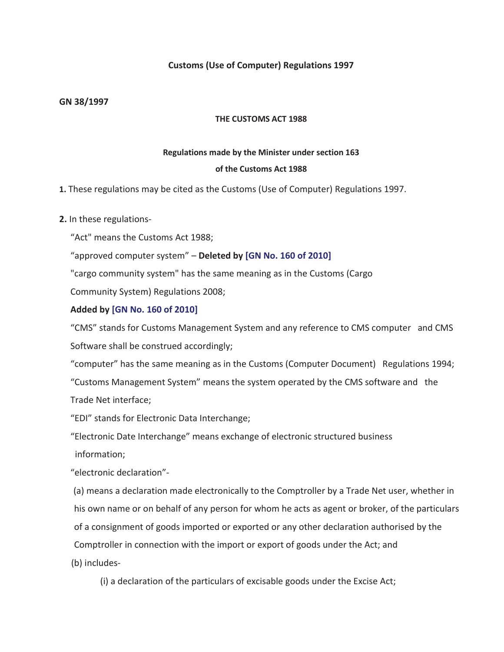## **Customs (Use of Computer) Regulations 1997**

#### **GN 38/1997**

#### **THE CUSTOMS ACT 1988**

#### **Regulations made by the Minister under section 163**

#### **of the Customs Act 1988**

## **1.** These regulations may be cited as the Customs (Use of Computer) Regulations 1997.

## **2.** In these regulations-

"Act" means the Customs Act 1988;

"approved computer system" – **Deleted by [GN No. 160 of 2010]** 

"cargo community system" has the same meaning as in the Customs (Cargo

Community System) Regulations 2008;

## **Added by [GN No. 160 of 2010]**

"CMS" stands for Customs Management System and any reference to CMS computer and CMS Software shall be construed accordingly;

"computer" has the same meaning as in the Customs (Computer Document) Regulations 1994; "Customs Management System" means the system operated by the CMS software and the Trade Net interface;

"EDI" stands for Electronic Data Interchange;

"Electronic Date Interchange" means exchange of electronic structured business information;

"electronic declaration"-

 (a) means a declaration made electronically to the Comptroller by a Trade Net user, whether in his own name or on behalf of any person for whom he acts as agent or broker, of the particulars of a consignment of goods imported or exported or any other declaration authorised by the Comptroller in connection with the import or export of goods under the Act; and (b) includes-

(i) a declaration of the particulars of excisable goods under the Excise Act;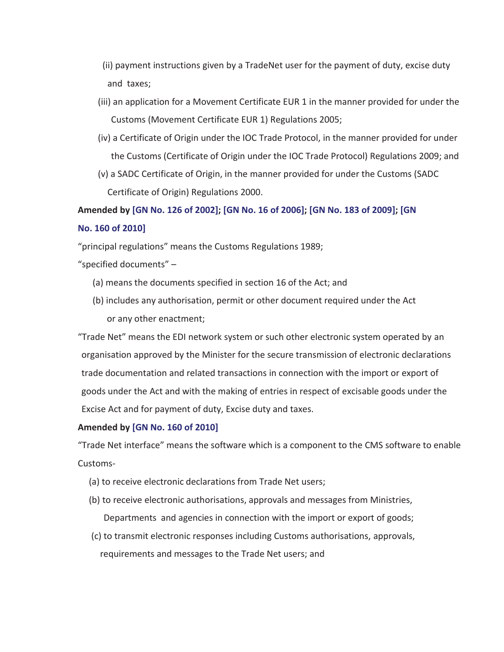- (ii) payment instructions given by a TradeNet user for the payment of duty, excise duty and taxes;
- (iii) an application for a Movement Certificate EUR 1 in the manner provided for under the Customs (Movement Certificate EUR 1) Regulations 2005;
- (iv) a Certificate of Origin under the IOC Trade Protocol, in the manner provided for under the Customs (Certificate of Origin under the IOC Trade Protocol) Regulations 2009; and
- (v) a SADC Certificate of Origin, in the manner provided for under the Customs (SADC Certificate of Origin) Regulations 2000.

**Amended by [GN No. 126 of 2002]; [GN No. 16 of 2006]; [GN No. 183 of 2009]; [GN No. 160 of 2010]** 

"principal regulations" means the Customs Regulations 1989;

"specified documents" –

- (a) means the documents specified in section 16 of the Act; and
- (b) includes any authorisation, permit or other document required under the Act or any other enactment;

"Trade Net" means the EDI network system or such other electronic system operated by an organisation approved by the Minister for the secure transmission of electronic declarations trade documentation and related transactions in connection with the import or export of goods under the Act and with the making of entries in respect of excisable goods under the Excise Act and for payment of duty, Excise duty and taxes.

## **Amended by [GN No. 160 of 2010]**

"Trade Net interface" means the software which is a component to the CMS software to enable Customs-

- (a) to receive electronic declarations from Trade Net users;
- (b) to receive electronic authorisations, approvals and messages from Ministries, Departments and agencies in connection with the import or export of goods;
- (c) to transmit electronic responses including Customs authorisations, approvals, requirements and messages to the Trade Net users; and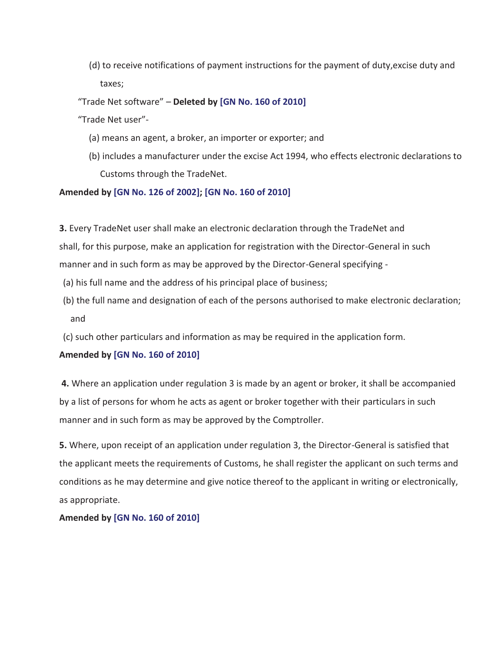(d) to receive notifications of payment instructions for the payment of duty,excise duty and taxes;

"Trade Net software" – **Deleted by [GN No. 160 of 2010]** 

"Trade Net user"-

- (a) means an agent, a broker, an importer or exporter; and
- (b) includes a manufacturer under the excise Act 1994, who effects electronic declarations to Customs through the TradeNet.

## **Amended by [GN No. 126 of 2002]; [GN No. 160 of 2010]**

**3.** Every TradeNet user shall make an electronic declaration through the TradeNet and shall, for this purpose, make an application for registration with the Director-General in such manner and in such form as may be approved by the Director-General specifying -

- (a) his full name and the address of his principal place of business;
- (b) the full name and designation of each of the persons authorised to make electronic declaration; and
- (c) such other particulars and information as may be required in the application form.

# **Amended by [GN No. 160 of 2010]**

 **4.** Where an application under regulation 3 is made by an agent or broker, it shall be accompanied by a list of persons for whom he acts as agent or broker together with their particulars in such manner and in such form as may be approved by the Comptroller.

**5.** Where, upon receipt of an application under regulation 3, the Director-General is satisfied that the applicant meets the requirements of Customs, he shall register the applicant on such terms and conditions as he may determine and give notice thereof to the applicant in writing or electronically, as appropriate.

**Amended by [GN No. 160 of 2010]**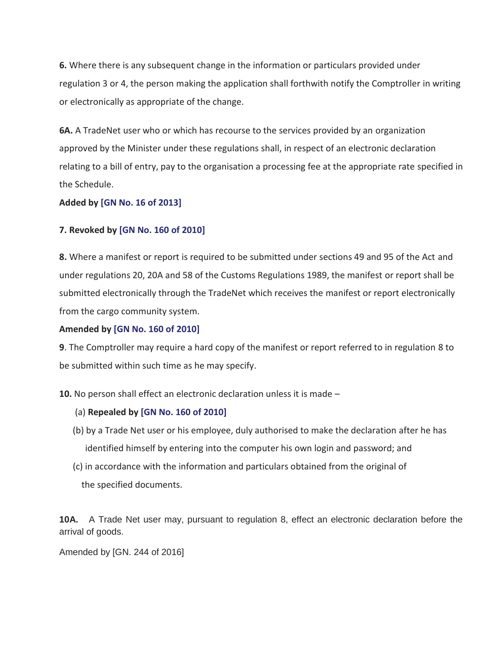**6.** Where there is any subsequent change in the information or particulars provided under regulation 3 or 4, the person making the application shall forthwith notify the Comptroller in writing or electronically as appropriate of the change.

**6A.** A TradeNet user who or which has recourse to the services provided by an organization approved by the Minister under these regulations shall, in respect of an electronic declaration relating to a bill of entry, pay to the organisation a processing fee at the appropriate rate specified in the Schedule.

## **Added by [GN No. 16 of 2013]**

## **7. Revoked by [GN No. 160 of 2010]**

**8.** Where a manifest or report is required to be submitted under sections 49 and 95 of the Act and under regulations 20, 20A and 58 of the Customs Regulations 1989, the manifest or report shall be submitted electronically through the TradeNet which receives the manifest or report electronically from the cargo community system.

#### **Amended by [GN No. 160 of 2010]**

**9**. The Comptroller may require a hard copy of the manifest or report referred to in regulation 8 to be submitted within such time as he may specify.

**10.** No person shall effect an electronic declaration unless it is made –

## (a) **Repealed by [GN No. 160 of 2010]**

- (b) by a Trade Net user or his employee, duly authorised to make the declaration after he has identified himself by entering into the computer his own login and password; and
- (c) in accordance with the information and particulars obtained from the original of the specified documents.

**10A.** A Trade Net user may, pursuant to regulation 8, effect an electronic declaration before the arrival of goods.

Amended by [GN. 244 of 2016]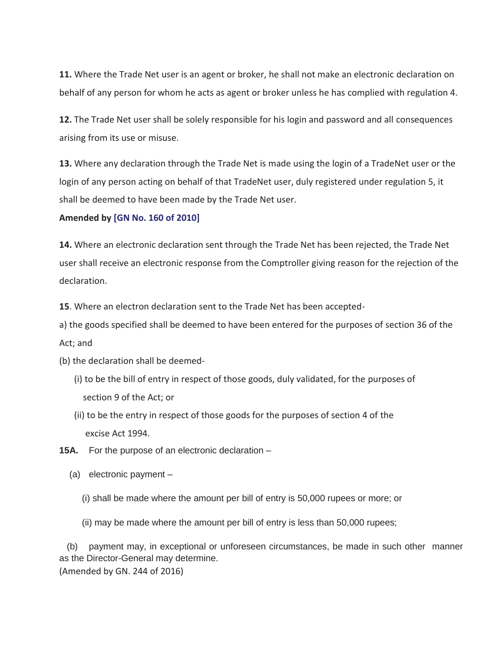**11.** Where the Trade Net user is an agent or broker, he shall not make an electronic declaration on behalf of any person for whom he acts as agent or broker unless he has complied with regulation 4.

**12.** The Trade Net user shall be solely responsible for his login and password and all consequences arising from its use or misuse.

**13.** Where any declaration through the Trade Net is made using the login of a TradeNet user or the login of any person acting on behalf of that TradeNet user, duly registered under regulation 5, it shall be deemed to have been made by the Trade Net user.

#### **Amended by [GN No. 160 of 2010]**

**14.** Where an electronic declaration sent through the Trade Net has been rejected, the Trade Net user shall receive an electronic response from the Comptroller giving reason for the rejection of the declaration.

**15**. Where an electron declaration sent to the Trade Net has been accepted-

a) the goods specified shall be deemed to have been entered for the purposes of section 36 of the

Act; and

(b) the declaration shall be deemed-

- (i) to be the bill of entry in respect of those goods, duly validated, for the purposes of section 9 of the Act; or
- (ii) to be the entry in respect of those goods for the purposes of section 4 of the excise Act 1994.
- **15A.** For the purpose of an electronic declaration
	- (a) electronic payment
		- (i) shall be made where the amount per bill of entry is 50,000 rupees or more; or
		- (ii) may be made where the amount per bill of entry is less than 50,000 rupees;

 (b) payment may, in exceptional or unforeseen circumstances, be made in such other manner as the Director-General may determine. (Amended by GN. 244 of 2016)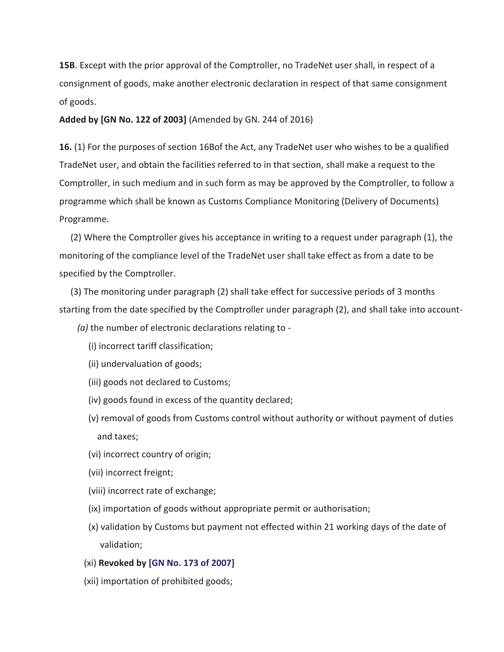**15B**. Except with the prior approval of the Comptroller, no TradeNet user shall, in respect of a consignment of goods, make another electronic declaration in respect of that same consignment of goods.

**Added by [GN No. 122 of 2003]** (Amended by GN. 244 of 2016)

**16.** (1) For the purposes of section 16Bof the Act, any TradeNet user who wishes to be a qualified TradeNet user, and obtain the facilities referred to in that section, shall make a request to the Comptroller, in such medium and in such form as may be approved by the Comptroller, to follow a programme which shall be known as Customs Compliance Monitoring (Delivery of Documents) Programme.

 (2) Where the Comptroller gives his acceptance in writing to a request under paragraph (1), the monitoring of the compliance level of the TradeNet user shall take effect as from a date to be specified by the Comptroller.

 (3) The monitoring under paragraph (2) shall take effect for successive periods of 3 months starting from the date specified by the Comptroller under paragraph (2), and shall take into account-

 *(a)* the number of electronic declarations relating to -

- (i) incorrect tariff classification;
- (ii) undervaluation of goods;
- (iii) goods not declared to Customs;
- (iv) goods found in excess of the quantity declared;
- (v) removal of goods from Customs control without authority or without payment of duties and taxes;
- (vi) incorrect country of origin;
- (vii) incorrect freignt;
- (viii) incorrect rate of exchange;
- (ix) importation of goods without appropriate permit or authorisation;
- (x) validation by Customs but payment not effected within 21 working days of the date of validation;
- (xi) **Revoked by [GN No. 173 of 2007]**
- (xii) importation of prohibited goods;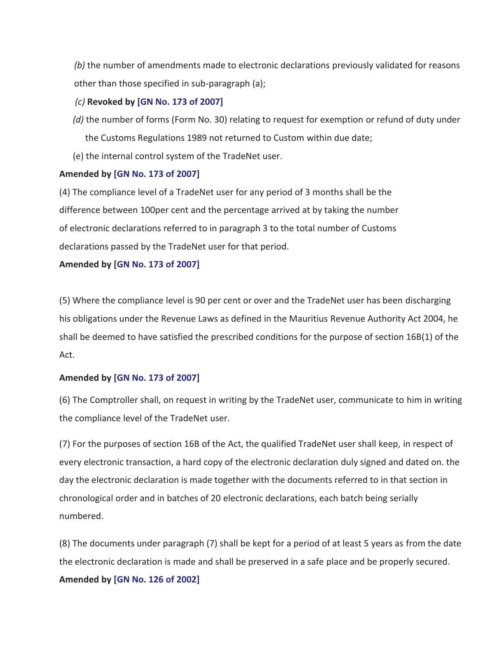*(b)* the number of amendments made to electronic declarations previously validated for reasons other than those specified in sub-paragraph (a);

# *(c)* **Revoked by [GN No. 173 of 2007]**

- *(d)* the number of forms (Form No. 30) relating to request for exemption or refund of duty under the Customs Regulations 1989 not returned to Custom within due date;
- (e) the internal control system of the TradeNet user.

## **Amended by [GN No. 173 of 2007]**

(4) The compliance level of a TradeNet user for any period of 3 months shall be the difference between 100per cent and the percentage arrived at by taking the number of electronic declarations referred to in paragraph 3 to the total number of Customs declarations passed by the TradeNet user for that period.

## **Amended by [GN No. 173 of 2007]**

(5) Where the compliance level is 90 per cent or over and the TradeNet user has been discharging his obligations under the Revenue Laws as defined in the Mauritius Revenue Authority Act 2004, he shall be deemed to have satisfied the prescribed conditions for the purpose of section 16B(1) of the Act.

## **Amended by [GN No. 173 of 2007]**

(6) The Comptroller shall, on request in writing by the TradeNet user, communicate to him in writing the compliance level of the TradeNet user.

(7) For the purposes of section 16B of the Act, the qualified TradeNet user shall keep, in respect of every electronic transaction, a hard copy of the electronic declaration duly signed and dated on. the day the electronic declaration is made together with the documents referred to in that section in chronological order and in batches of 20 electronic declarations, each batch being serially numbered.

(8) The documents under paragraph (7) shall be kept for a period of at least 5 years as from the date the electronic declaration is made and shall be preserved in a safe place and be properly secured. **Amended by [GN No. 126 of 2002]**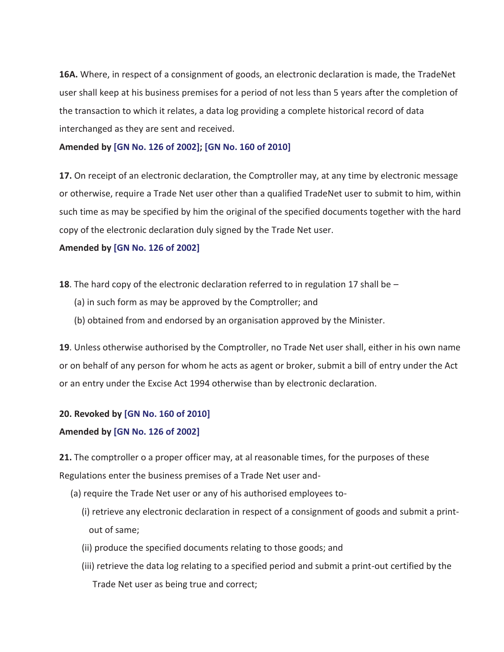**16A.** Where, in respect of a consignment of goods, an electronic declaration is made, the TradeNet user shall keep at his business premises for a period of not less than 5 years after the completion of the transaction to which it relates, a data log providing a complete historical record of data interchanged as they are sent and received.

#### **Amended by [GN No. 126 of 2002]; [GN No. 160 of 2010]**

**17.** On receipt of an electronic declaration, the Comptroller may, at any time by electronic message or otherwise, require a Trade Net user other than a qualified TradeNet user to submit to him, within such time as may be specified by him the original of the specified documents together with the hard copy of the electronic declaration duly signed by the Trade Net user.

#### **Amended by [GN No. 126 of 2002]**

- **18**. The hard copy of the electronic declaration referred to in regulation 17 shall be
	- (a) in such form as may be approved by the Comptroller; and
	- (b) obtained from and endorsed by an organisation approved by the Minister.

**19**. Unless otherwise authorised by the Comptroller, no Trade Net user shall, either in his own name or on behalf of any person for whom he acts as agent or broker, submit a bill of entry under the Act or an entry under the Excise Act 1994 otherwise than by electronic declaration.

## **20. Revoked by [GN No. 160 of 2010]**

## **Amended by [GN No. 126 of 2002]**

**21.** The comptroller o a proper officer may, at al reasonable times, for the purposes of these Regulations enter the business premises of a Trade Net user and-

- (a) require the Trade Net user or any of his authorised employees to-
	- (i) retrieve any electronic declaration in respect of a consignment of goods and submit a printout of same;
	- (ii) produce the specified documents relating to those goods; and
	- (iii) retrieve the data log relating to a specified period and submit a print-out certified by the Trade Net user as being true and correct;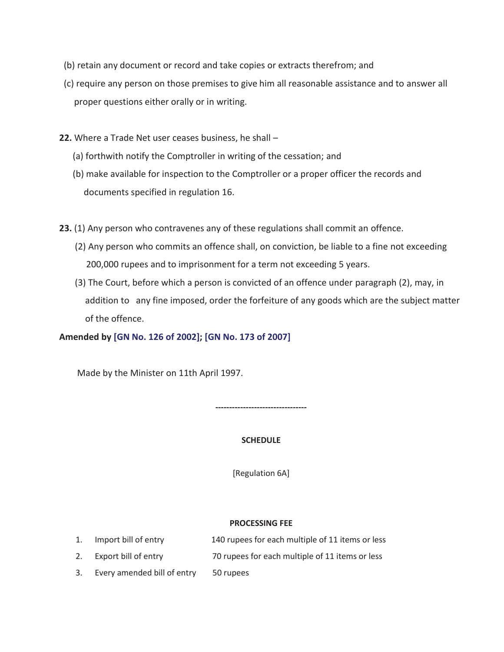- (b) retain any document or record and take copies or extracts therefrom; and
- (c) require any person on those premises to give him all reasonable assistance and to answer all proper questions either orally or in writing.
- **22.** Where a Trade Net user ceases business, he shall
	- (a) forthwith notify the Comptroller in writing of the cessation; and
	- (b) make available for inspection to the Comptroller or a proper officer the records and documents specified in regulation 16.
- **23.** (1) Any person who contravenes any of these regulations shall commit an offence.
	- (2) Any person who commits an offence shall, on conviction, be liable to a fine not exceeding 200,000 rupees and to imprisonment for a term not exceeding 5 years.
	- (3) The Court, before which a person is convicted of an offence under paragraph (2), may, in addition to any fine imposed, order the forfeiture of any goods which are the subject matter of the offence.

**Amended by [GN No. 126 of 2002]; [GN No. 173 of 2007]** 

Made by the Minister on 11th April 1997.

**---------------------------------** 

#### **SCHEDULE**

[Regulation 6A]

#### **PROCESSING FEE**

- 1. Import bill of entry 140 rupees for each multiple of 11 items or less
- 2. Export bill of entry 70 rupees for each multiple of 11 items or less
- 3. Every amended bill of entry 50 rupees